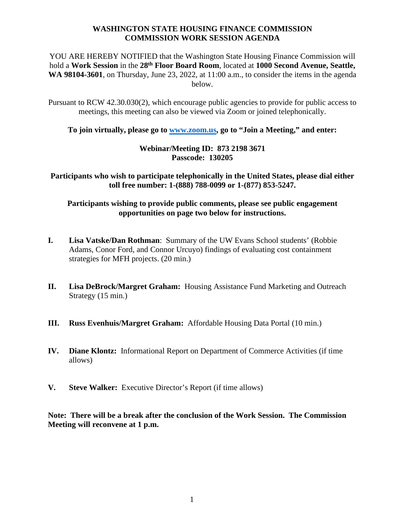## **WASHINGTON STATE HOUSING FINANCE COMMISSION COMMISSION WORK SESSION AGENDA**

YOU ARE HEREBY NOTIFIED that the Washington State Housing Finance Commission will hold a **Work Session** in the **28th Floor Board Room**, located at **1000 Second Avenue, Seattle, WA 98104-3601**, on Thursday, June 23, 2022, at 11:00 a.m., to consider the items in the agenda below.

Pursuant to RCW 42.30.030(2), which encourage public agencies to provide for public access to meetings, this meeting can also be viewed via Zoom or joined telephonically.

**To join virtually, please go to [www.zoom.us,](http://www.zoom.us/) go to "Join a Meeting," and enter:**

## **Webinar/Meeting ID: 873 2198 3671 Passcode: 130205**

**Participants who wish to participate telephonically in the United States, please dial either toll free number: 1-(888) 788-0099 or 1-(877) 853-5247.**

**Participants wishing to provide public comments, please see public engagement opportunities on page two below for instructions.**

- **I. Lisa Vatske/Dan Rothman**: Summary of the UW Evans School students' (Robbie Adams, Conor Ford, and Connor Urcuyo) findings of evaluating cost containment strategies for MFH projects. (20 min.)
- **II. Lisa DeBrock/Margret Graham:** Housing Assistance Fund Marketing and Outreach Strategy (15 min.)
- **III. Russ Evenhuis/Margret Graham:** Affordable Housing Data Portal (10 min.)
- **IV. Diane Klontz:** Informational Report on Department of Commerce Activities (if time allows)
- **V. Steve Walker:** Executive Director's Report (if time allows)

**Note: There will be a break after the conclusion of the Work Session. The Commission Meeting will reconvene at 1 p.m.**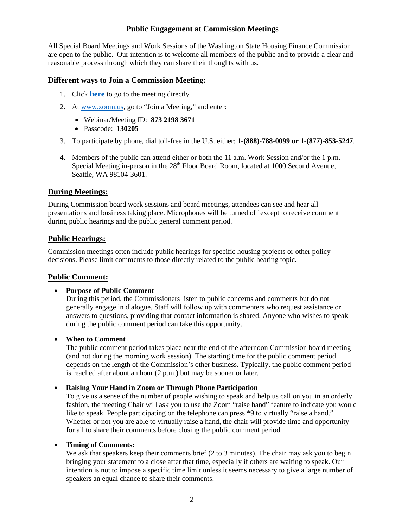## **Public Engagement at Commission Meetings**

All Special Board Meetings and Work Sessions of the Washington State Housing Finance Commission are open to the public. Our intention is to welcome all members of the public and to provide a clear and reasonable process through which they can share their thoughts with us.

#### **Different ways to Join a Commission Meeting:**

- 1. Click **[here](https://us02web.zoom.us/s/87321983671?pwd=Z0lJNURnKys5Q2g0UGVFbjZQbnBzUT09)** to go to the meeting directly
- 2. At [www.zoom.us,](http://www.zoom.us/) go to "Join a Meeting," and enter:
	- Webinar/Meeting ID: **873 2198 3671**
	- Passcode: **130205**
- 3. To participate by phone, dial toll-free in the U.S. either: **1-(888)-788-0099 or 1-(877)-853-5247**.
- 4. Members of the public can attend either or both the 11 a.m. Work Session and/or the 1 p.m. Special Meeting in-person in the 28<sup>th</sup> Floor Board Room, located at 1000 Second Avenue, Seattle, WA 98104-3601.

## **During Meetings:**

During Commission board work sessions and board meetings, attendees can see and hear all presentations and business taking place. Microphones will be turned off except to receive comment during public hearings and the public general comment period.

## **Public Hearings:**

Commission meetings often include public hearings for specific housing projects or other policy decisions. Please limit comments to those directly related to the public hearing topic.

## **Public Comment:**

#### • **Purpose of Public Comment**

During this period, the Commissioners listen to public concerns and comments but do not generally engage in dialogue. Staff will follow up with commenters who request assistance or answers to questions, providing that contact information is shared. Anyone who wishes to speak during the public comment period can take this opportunity.

#### • **When to Comment**

The public comment period takes place near the end of the afternoon Commission board meeting (and not during the morning work session). The starting time for the public comment period depends on the length of the Commission's other business. Typically, the public comment period is reached after about an hour (2 p.m.) but may be sooner or later.

#### • **Raising Your Hand in Zoom or Through Phone Participation**

To give us a sense of the number of people wishing to speak and help us call on you in an orderly fashion, the meeting Chair will ask you to use the Zoom "raise hand" feature to indicate you would like to speak. People participating on the telephone can press \*9 to virtually "raise a hand." Whether or not you are able to virtually raise a hand, the chair will provide time and opportunity for all to share their comments before closing the public comment period.

#### • **Timing of Comments:**

We ask that speakers keep their comments brief (2 to 3 minutes). The chair may ask you to begin bringing your statement to a close after that time, especially if others are waiting to speak. Our intention is not to impose a specific time limit unless it seems necessary to give a large number of speakers an equal chance to share their comments.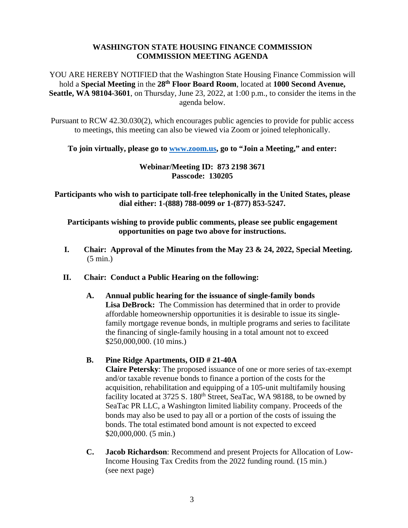## **WASHINGTON STATE HOUSING FINANCE COMMISSION COMMISSION MEETING AGENDA**

YOU ARE HEREBY NOTIFIED that the Washington State Housing Finance Commission will hold a **Special Meeting** in the **28th Floor Board Room**, located at **1000 Second Avenue, Seattle, WA 98104-3601**, on Thursday, June 23, 2022, at 1:00 p.m., to consider the items in the agenda below.

Pursuant to RCW 42.30.030(2), which encourages public agencies to provide for public access to meetings, this meeting can also be viewed via Zoom or joined telephonically.

**To join virtually, please go to [www.zoom.us,](http://www.zoom.us/) go to "Join a Meeting," and enter:**

## **Webinar/Meeting ID: 873 2198 3671 Passcode: 130205**

**Participants who wish to participate toll-free telephonically in the United States, please dial either: 1-(888) 788-0099 or 1-(877) 853-5247.**

**Participants wishing to provide public comments, please see public engagement opportunities on page two above for instructions.**

- **I. Chair: Approval of the Minutes from the May 23 & 24, 2022, Special Meeting.** (5 min.)
- **II. Chair: Conduct a Public Hearing on the following:**
	- **A. Annual public hearing for the issuance of single-family bonds Lisa DeBrock:** The Commission has determined that in order to provide affordable homeownership opportunities it is desirable to issue its singlefamily mortgage revenue bonds, in multiple programs and series to facilitate the financing of single-family housing in a total amount not to exceed \$250,000,000. (10 mins.)

# **B. Pine Ridge Apartments, OID # 21-40A**

**Claire Petersky**: The proposed issuance of one or more series of tax-exempt and/or taxable revenue bonds to finance a portion of the costs for the acquisition, rehabilitation and equipping of a 105-unit multifamily housing facility located at  $3725$  S.  $180<sup>th</sup>$  Street, SeaTac, WA 98188, to be owned by SeaTac PR LLC, a Washington limited liability company. Proceeds of the bonds may also be used to pay all or a portion of the costs of issuing the bonds. The total estimated bond amount is not expected to exceed \$20,000,000. (5 min.)

**C. Jacob Richardson**: Recommend and present Projects for Allocation of Low-Income Housing Tax Credits from the 2022 funding round. (15 min.) (see next page)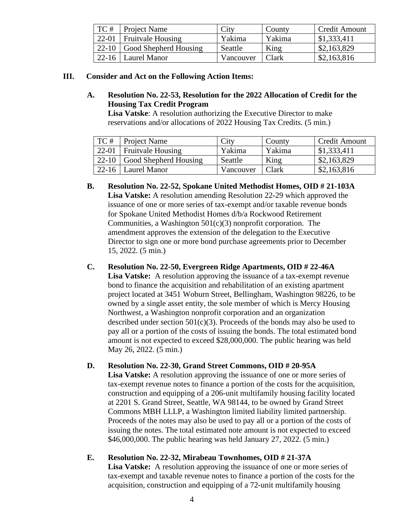| TC# | <b>Project Name</b>                         | City      | County       | Credit Amount |
|-----|---------------------------------------------|-----------|--------------|---------------|
|     | $\vert$ 22-01   Fruitvale Housing           | Yakima    | Yakima       | \$1,333,411   |
|     | $\vert$ 22-10 $\vert$ Good Shepherd Housing | Seattle   | King         | \$2,163,829   |
|     | $\vert$ 22-16 $\vert$ Laurel Manor          | Vancouver | <b>Clark</b> | \$2,163,816   |

## **III. Consider and Act on the Following Action Items:**

## **A. Resolution No. 22-53, Resolution for the 2022 Allocation of Credit for the Housing Tax Credit Program**

**Lisa Vatske**: A resolution authorizing the Executive Director to make reservations and/or allocations of 2022 Housing Tax Credits. (5 min.)

| TC# | <b>Project Name</b>           | City      | County       | <b>Credit Amount</b> |
|-----|-------------------------------|-----------|--------------|----------------------|
|     | $22-01$ Fruitvale Housing     | Yakima    | Yakima       | $\mid$ \$1,333,411   |
|     | $22-10$ Good Shepherd Housing | Seattle   | King         | \$2,163,829          |
|     | $22-16$ Laurel Manor          | Vancouver | <b>Clark</b> | \$2,163,816          |

**B. Resolution No. 22-52, Spokane United Methodist Homes, OID # 21-103A Lisa Vatske:** A resolution amending Resolution 22-29 which approved the issuance of one or more series of tax-exempt and/or taxable revenue bonds for Spokane United Methodist Homes d/b/a Rockwood Retirement Communities, a Washington 501(c)(3) nonprofit corporation. The amendment approves the extension of the delegation to the Executive Director to sign one or more bond purchase agreements prior to December 15, 2022. (5 min.)

# **C. Resolution No. 22-50, Evergreen Ridge Apartments, OID # 22-46A**

Lisa Vatske: A resolution approving the issuance of a tax-exempt revenue bond to finance the acquisition and rehabilitation of an existing apartment project located at 3451 Woburn Street, Bellingham, Washington 98226, to be owned by a single asset entity, the sole member of which is Mercy Housing Northwest, a Washington nonprofit corporation and an organization described under section  $501(c)(3)$ . Proceeds of the bonds may also be used to pay all or a portion of the costs of issuing the bonds. The total estimated bond amount is not expected to exceed \$28,000,000. The public hearing was held May 26, 2022. (5 min.)

# **D. Resolution No. 22-30, Grand Street Commons, OID # 20-95A**

**Lisa Vatske:** A resolution approving the issuance of one or more series of tax-exempt revenue notes to finance a portion of the costs for the acquisition, construction and equipping of a 206-unit multifamily housing facility located at 2201 S. Grand Street, Seattle, WA 98144, to be owned by Grand Street Commons MBH LLLP, a Washington limited liability limited partnership. Proceeds of the notes may also be used to pay all or a portion of the costs of issuing the notes. The total estimated note amount is not expected to exceed \$46,000,000. The public hearing was held January 27, 2022. (5 min.)

# **E. Resolution No. 22-32, Mirabeau Townhomes, OID # 21-37A**

**Lisa Vatske:** A resolution approving the issuance of one or more series of tax-exempt and taxable revenue notes to finance a portion of the costs for the acquisition, construction and equipping of a 72-unit multifamily housing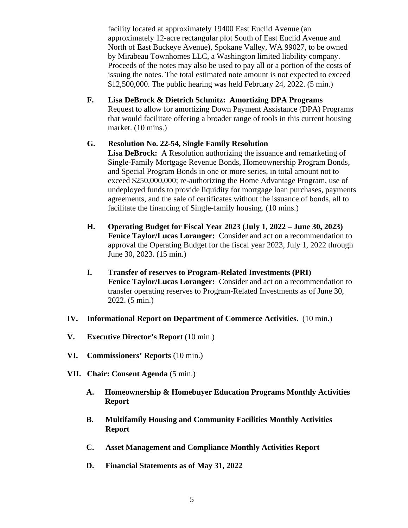facility located at approximately 19400 East Euclid Avenue (an approximately 12-acre rectangular plot South of East Euclid Avenue and North of East Buckeye Avenue), Spokane Valley, WA 99027, to be owned by Mirabeau Townhomes LLC, a Washington limited liability company. Proceeds of the notes may also be used to pay all or a portion of the costs of issuing the notes. The total estimated note amount is not expected to exceed \$12,500,000. The public hearing was held February 24, 2022. (5 min.)

**F. Lisa DeBrock & Dietrich Schmitz: Amortizing DPA Programs** Request to allow for amortizing Down Payment Assistance (DPA) Programs that would facilitate offering a broader range of tools in this current housing market. (10 mins.)

## **G. Resolution No. 22-54, Single Family Resolution**

**Lisa DeBrock:** A Resolution authorizing the issuance and remarketing of Single-Family Mortgage Revenue Bonds, Homeownership Program Bonds, and Special Program Bonds in one or more series, in total amount not to exceed \$250,000,000; re-authorizing the Home Advantage Program, use of undeployed funds to provide liquidity for mortgage loan purchases, payments agreements, and the sale of certificates without the issuance of bonds, all to facilitate the financing of Single-family housing. (10 mins.)

- **H. Operating Budget for Fiscal Year 2023 (July 1, 2022 – June 30, 2023) Fenice Taylor/Lucas Loranger:** Consider and act on a recommendation to approval the Operating Budget for the fiscal year 2023, July 1, 2022 through June 30, 2023. (15 min.)
- **I. Transfer of reserves to Program-Related Investments (PRI) Fenice Taylor/Lucas Loranger:** Consider and act on a recommendation to transfer operating reserves to Program-Related Investments as of June 30, 2022. (5 min.)
- **IV. Informational Report on Department of Commerce Activities.** (10 min.)
- **V. Executive Director's Report** (10 min.)
- **VI. Commissioners' Reports** (10 min.)
- **VII. Chair: Consent Agenda** (5 min.)
	- **A. Homeownership & Homebuyer Education Programs Monthly Activities Report**
	- **B. Multifamily Housing and Community Facilities Monthly Activities Report**
	- **C. Asset Management and Compliance Monthly Activities Report**
	- **D. Financial Statements as of May 31, 2022**